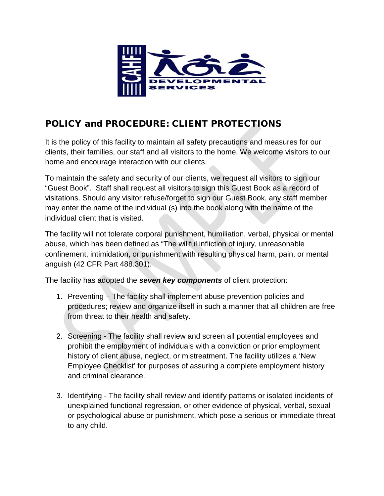

## POLICY and PROCEDURE: CLIENT PROTECTIONS

It is the policy of this facility to maintain all safety precautions and measures for our clients, their families, our staff and all visitors to the home. We welcome visitors to our home and encourage interaction with our clients.

To maintain the safety and security of our clients, we request all visitors to sign our "Guest Book". Staff shall request all visitors to sign this Guest Book as a record of visitations. Should any visitor refuse/forget to sign our Guest Book, any staff member may enter the name of the individual (s) into the book along with the name of the individual client that is visited.

The facility will not tolerate corporal punishment, humiliation, verbal, physical or mental abuse, which has been defined as "The willful infliction of injury, unreasonable confinement, intimidation, or punishment with resulting physical harm, pain, or mental anguish (42 CFR Part 488.301).

The facility has adopted the *seven key components* of client protection:

- 1. Preventing The facility shall implement abuse prevention policies and procedures; review and organize itself in such a manner that all children are free from threat to their health and safety.
- 2. Screening The facility shall review and screen all potential employees and prohibit the employment of individuals with a conviction or prior employment history of client abuse, neglect, or mistreatment. The facility utilizes a 'New Employee Checklist' for purposes of assuring a complete employment history and criminal clearance.
- 3. Identifying The facility shall review and identify patterns or isolated incidents of unexplained functional regression, or other evidence of physical, verbal, sexual or psychological abuse or punishment, which pose a serious or immediate threat to any child.